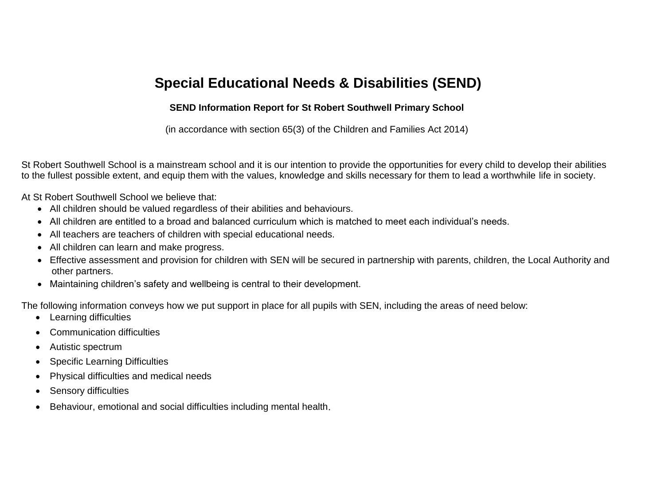# **Special Educational Needs & Disabilities (SEND)**

### **SEND Information Report for St Robert Southwell Primary School**

(in accordance with section 65(3) of the Children and Families Act 2014)

St Robert Southwell School is a mainstream school and it is our intention to provide the opportunities for every child to develop their abilities to the fullest possible extent, and equip them with the values, knowledge and skills necessary for them to lead a worthwhile life in society.

At St Robert Southwell School we believe that:

- All children should be valued regardless of their abilities and behaviours.
- All children are entitled to a broad and balanced curriculum which is matched to meet each individual's needs.
- All teachers are teachers of children with special educational needs.
- All children can learn and make progress.
- Effective assessment and provision for children with SEN will be secured in partnership with parents, children, the Local Authority and other partners.
- Maintaining children's safety and wellbeing is central to their development.

The following information conveys how we put support in place for all pupils with SEN, including the areas of need below:

- Learning difficulties
- Communication difficulties
- Autistic spectrum
- Specific Learning Difficulties
- Physical difficulties and medical needs
- Sensory difficulties
- Behaviour, emotional and social difficulties including mental health.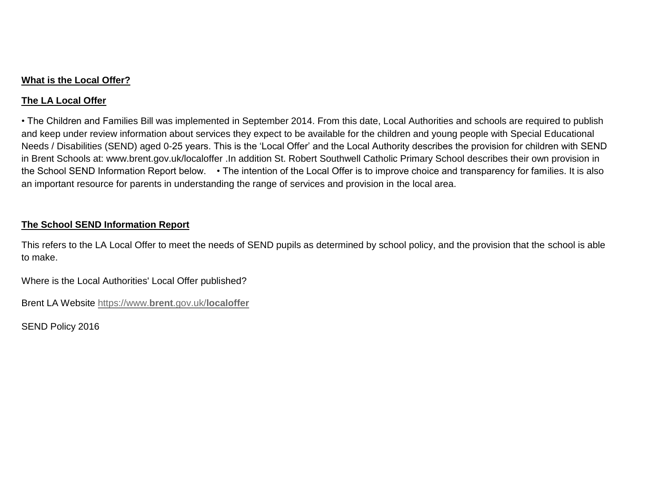#### **What is the Local Offer?**

## **The LA Local Offer**

• The Children and Families Bill was implemented in September 2014. From this date, Local Authorities and schools are required to publish and keep under review information about services they expect to be available for the children and young people with Special Educational Needs / Disabilities (SEND) aged 0-25 years. This is the 'Local Offer' and the Local Authority describes the provision for children with SEND in Brent Schools at: www.brent.gov.uk/localoffer .In addition St. Robert Southwell Catholic Primary School describes their own provision in the School SEND Information Report below. • The intention of the Local Offer is to improve choice and transparency for families. It is also an important resource for parents in understanding the range of services and provision in the local area.

## **The School SEND Information Report**

This refers to the LA Local Offer to meet the needs of SEND pupils as determined by school policy, and the provision that the school is able to make.

Where is the Local Authorities' Local Offer published?

Brent LA Website https://www.**brent**.gov.uk/**localoffer**

SEND Policy 2016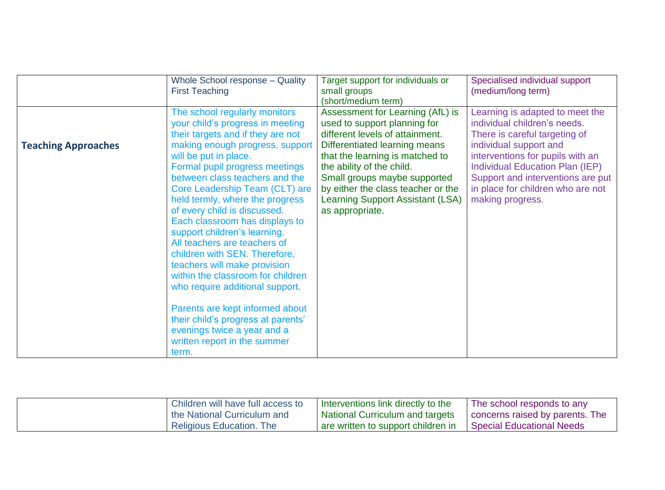|                            | Whole School response - Quality<br><b>First Teaching</b>                                                                                                                                                                                                                                                                                                                                                                                                                                                                                                                                                                                                                                       | Target support for individuals or<br>small groups<br>(short/medium term)                                                                                                                                                                                                                                                                 | Specialised individual support<br>(medium/long term)                                                                                                                                                                                                                                            |
|----------------------------|------------------------------------------------------------------------------------------------------------------------------------------------------------------------------------------------------------------------------------------------------------------------------------------------------------------------------------------------------------------------------------------------------------------------------------------------------------------------------------------------------------------------------------------------------------------------------------------------------------------------------------------------------------------------------------------------|------------------------------------------------------------------------------------------------------------------------------------------------------------------------------------------------------------------------------------------------------------------------------------------------------------------------------------------|-------------------------------------------------------------------------------------------------------------------------------------------------------------------------------------------------------------------------------------------------------------------------------------------------|
| <b>Teaching Approaches</b> | The school regularly monitors<br>your child's progress in meeting<br>their targets and if they are not<br>making enough progress, support<br>will be put in place.<br>Formal pupil progress meetings<br>between class teachers and the<br>Core Leadership Team (CLT) are<br>held termly, where the progress<br>of every child is discussed.<br>Each classroom has displays to<br>support children's learning.<br>All teachers are teachers of<br>children with SEN. Therefore,<br>teachers will make provision<br>within the classroom for children<br>who require additional support.<br>Parents are kept informed about<br>their child's progress at parents'<br>evenings twice a year and a | Assessment for Learning (AfL) is<br>used to support planning for<br>different levels of attainment.<br>Differentiated learning means<br>that the learning is matched to<br>the ability of the child.<br>Small groups maybe supported<br>by either the class teacher or the<br><b>Learning Support Assistant (LSA)</b><br>as appropriate. | Learning is adapted to meet the<br>individual children's needs.<br>There is careful targeting of<br>individual support and<br>interventions for pupils with an<br>Individual Education Plan (IEP)<br>Support and interventions are put<br>in place for children who are not<br>making progress. |
|                            | written report in the summer<br>term.                                                                                                                                                                                                                                                                                                                                                                                                                                                                                                                                                                                                                                                          |                                                                                                                                                                                                                                                                                                                                          |                                                                                                                                                                                                                                                                                                 |

| Children will have full access to | Interventions link directly to the     | The school responds to any       |
|-----------------------------------|----------------------------------------|----------------------------------|
| the National Curriculum and       | <b>National Curriculum and targets</b> | concerns raised by parents. The  |
| <b>Religious Education. The</b>   | are written to support children in     | <b>Special Educational Needs</b> |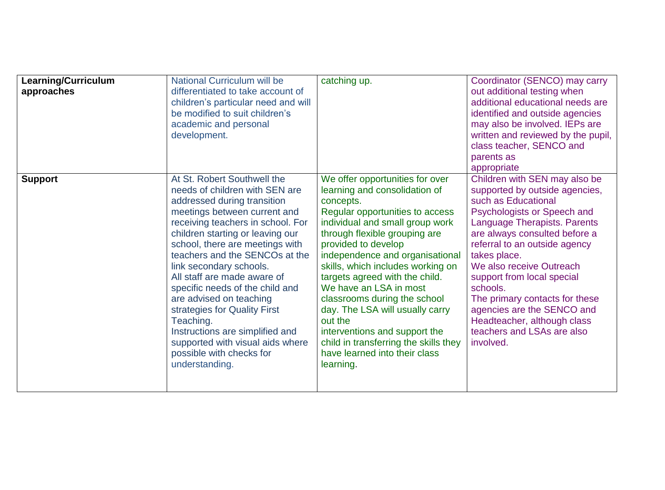| Learning/Curriculum<br>approaches | National Curriculum will be<br>differentiated to take account of<br>children's particular need and will<br>be modified to suit children's<br>academic and personal<br>development.                                                                                                                                                                                                                                                                                                                                                                                   | catching up.                                                                                                                                                                                                                                                                                                                                                                                                                                                                                                                                          | Coordinator (SENCO) may carry<br>out additional testing when<br>additional educational needs are<br>identified and outside agencies<br>may also be involved. IEPs are<br>written and reviewed by the pupil,<br>class teacher, SENCO and<br>parents as<br>appropriate                                                                                                                                                                                    |
|-----------------------------------|----------------------------------------------------------------------------------------------------------------------------------------------------------------------------------------------------------------------------------------------------------------------------------------------------------------------------------------------------------------------------------------------------------------------------------------------------------------------------------------------------------------------------------------------------------------------|-------------------------------------------------------------------------------------------------------------------------------------------------------------------------------------------------------------------------------------------------------------------------------------------------------------------------------------------------------------------------------------------------------------------------------------------------------------------------------------------------------------------------------------------------------|---------------------------------------------------------------------------------------------------------------------------------------------------------------------------------------------------------------------------------------------------------------------------------------------------------------------------------------------------------------------------------------------------------------------------------------------------------|
| <b>Support</b>                    | At St. Robert Southwell the<br>needs of children with SEN are<br>addressed during transition<br>meetings between current and<br>receiving teachers in school. For<br>children starting or leaving our<br>school, there are meetings with<br>teachers and the SENCOs at the<br>link secondary schools.<br>All staff are made aware of<br>specific needs of the child and<br>are advised on teaching<br>strategies for Quality First<br>Teaching.<br>Instructions are simplified and<br>supported with visual aids where<br>possible with checks for<br>understanding. | We offer opportunities for over<br>learning and consolidation of<br>concepts.<br>Regular opportunities to access<br>individual and small group work<br>through flexible grouping are<br>provided to develop<br>independence and organisational<br>skills, which includes working on<br>targets agreed with the child.<br>We have an LSA in most<br>classrooms during the school<br>day. The LSA will usually carry<br>out the<br>interventions and support the<br>child in transferring the skills they<br>have learned into their class<br>learning. | Children with SEN may also be<br>supported by outside agencies,<br>such as Educational<br>Psychologists or Speech and<br>Language Therapists. Parents<br>are always consulted before a<br>referral to an outside agency<br>takes place.<br>We also receive Outreach<br>support from local special<br>schools.<br>The primary contacts for these<br>agencies are the SENCO and<br>Headteacher, although class<br>teachers and LSAs are also<br>involved. |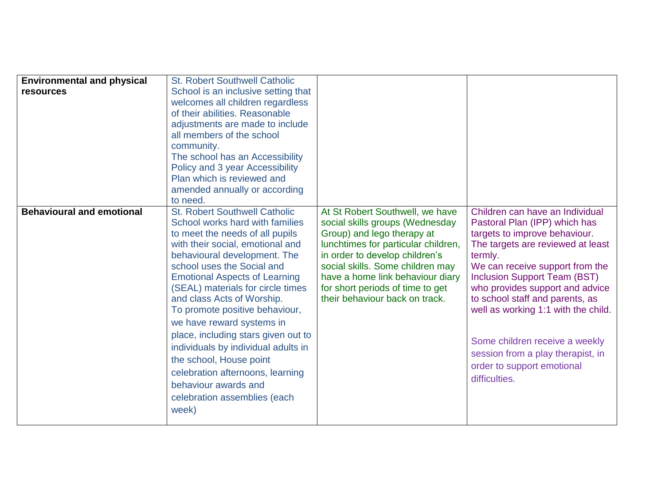| <b>Environmental and physical</b><br><b>resources</b> | <b>St. Robert Southwell Catholic</b><br>School is an inclusive setting that<br>welcomes all children regardless<br>of their abilities. Reasonable<br>adjustments are made to include<br>all members of the school<br>community.<br>The school has an Accessibility<br>Policy and 3 year Accessibility<br>Plan which is reviewed and<br>amended annually or according<br>to need.                                                                                                                                                                                                                     |                                                                                                                                                                                                                                                                                                                         |                                                                                                                                                                                                                                                                                                                                                                                                                                                                |
|-------------------------------------------------------|------------------------------------------------------------------------------------------------------------------------------------------------------------------------------------------------------------------------------------------------------------------------------------------------------------------------------------------------------------------------------------------------------------------------------------------------------------------------------------------------------------------------------------------------------------------------------------------------------|-------------------------------------------------------------------------------------------------------------------------------------------------------------------------------------------------------------------------------------------------------------------------------------------------------------------------|----------------------------------------------------------------------------------------------------------------------------------------------------------------------------------------------------------------------------------------------------------------------------------------------------------------------------------------------------------------------------------------------------------------------------------------------------------------|
| <b>Behavioural and emotional</b>                      | <b>St. Robert Southwell Catholic</b><br>School works hard with families<br>to meet the needs of all pupils<br>with their social, emotional and<br>behavioural development. The<br>school uses the Social and<br><b>Emotional Aspects of Learning</b><br>(SEAL) materials for circle times<br>and class Acts of Worship.<br>To promote positive behaviour,<br>we have reward systems in<br>place, including stars given out to<br>individuals by individual adults in<br>the school, House point<br>celebration afternoons, learning<br>behaviour awards and<br>celebration assemblies (each<br>week) | At St Robert Southwell, we have<br>social skills groups (Wednesday<br>Group) and lego therapy at<br>lunchtimes for particular children,<br>in order to develop children's<br>social skills. Some children may<br>have a home link behaviour diary<br>for short periods of time to get<br>their behaviour back on track. | Children can have an Individual<br>Pastoral Plan (IPP) which has<br>targets to improve behaviour.<br>The targets are reviewed at least<br>termly.<br>We can receive support from the<br><b>Inclusion Support Team (BST)</b><br>who provides support and advice<br>to school staff and parents, as<br>well as working 1:1 with the child.<br>Some children receive a weekly<br>session from a play therapist, in<br>order to support emotional<br>difficulties. |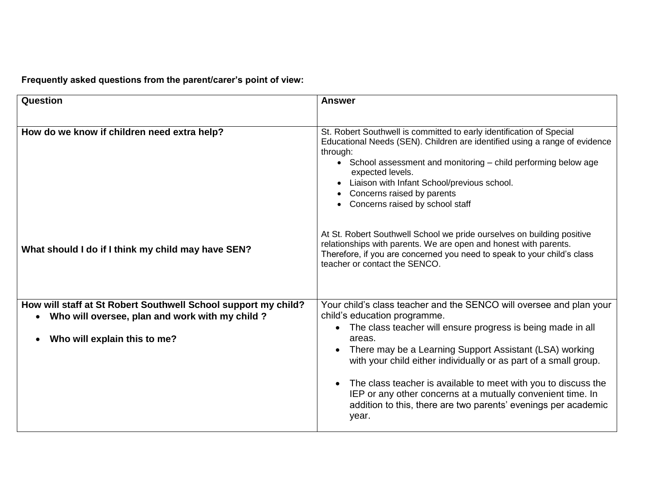**Frequently asked questions from the parent/carer's point of view:**

| <b>Question</b>                                                                                                                                    | <b>Answer</b>                                                                                                                                                                                                                                                                                                                                                                                                                                                                                                           |
|----------------------------------------------------------------------------------------------------------------------------------------------------|-------------------------------------------------------------------------------------------------------------------------------------------------------------------------------------------------------------------------------------------------------------------------------------------------------------------------------------------------------------------------------------------------------------------------------------------------------------------------------------------------------------------------|
| How do we know if children need extra help?                                                                                                        | St. Robert Southwell is committed to early identification of Special<br>Educational Needs (SEN). Children are identified using a range of evidence<br>through:<br>• School assessment and monitoring - child performing below age<br>expected levels.<br>Liaison with Infant School/previous school.<br>Concerns raised by parents<br>Concerns raised by school staff                                                                                                                                                   |
| What should I do if I think my child may have SEN?                                                                                                 | At St. Robert Southwell School we pride ourselves on building positive<br>relationships with parents. We are open and honest with parents.<br>Therefore, if you are concerned you need to speak to your child's class<br>teacher or contact the SENCO.                                                                                                                                                                                                                                                                  |
| How will staff at St Robert Southwell School support my child?<br>• Who will oversee, plan and work with my child?<br>Who will explain this to me? | Your child's class teacher and the SENCO will oversee and plan your<br>child's education programme.<br>The class teacher will ensure progress is being made in all<br>areas.<br>There may be a Learning Support Assistant (LSA) working<br>with your child either individually or as part of a small group.<br>The class teacher is available to meet with you to discuss the<br>IEP or any other concerns at a mutually convenient time. In<br>addition to this, there are two parents' evenings per academic<br>year. |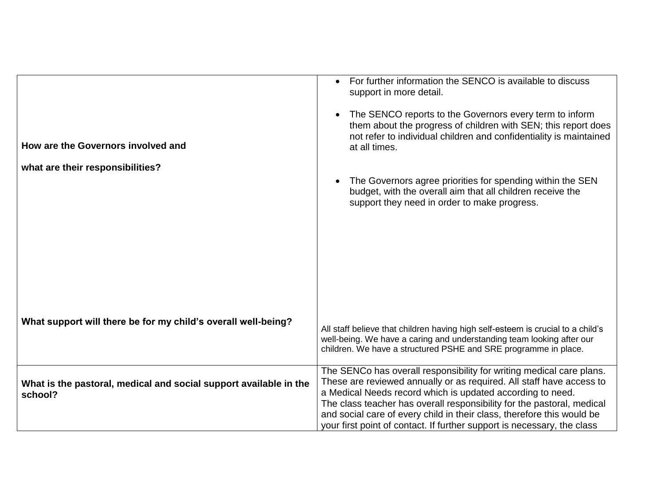|                                                                              | For further information the SENCO is available to discuss<br>support in more detail.                                                                                                                                        |
|------------------------------------------------------------------------------|-----------------------------------------------------------------------------------------------------------------------------------------------------------------------------------------------------------------------------|
| How are the Governors involved and                                           | The SENCO reports to the Governors every term to inform<br>them about the progress of children with SEN; this report does<br>not refer to individual children and confidentiality is maintained<br>at all times.            |
| what are their responsibilities?                                             |                                                                                                                                                                                                                             |
|                                                                              | The Governors agree priorities for spending within the SEN<br>budget, with the overall aim that all children receive the<br>support they need in order to make progress.                                                    |
|                                                                              |                                                                                                                                                                                                                             |
|                                                                              |                                                                                                                                                                                                                             |
|                                                                              |                                                                                                                                                                                                                             |
|                                                                              |                                                                                                                                                                                                                             |
|                                                                              |                                                                                                                                                                                                                             |
| What support will there be for my child's overall well-being?                | All staff believe that children having high self-esteem is crucial to a child's<br>well-being. We have a caring and understanding team looking after our<br>children. We have a structured PSHE and SRE programme in place. |
|                                                                              | The SENCo has overall responsibility for writing medical care plans.<br>These are reviewed annually or as required. All staff have access to                                                                                |
| What is the pastoral, medical and social support available in the<br>school? | a Medical Needs record which is updated according to need.                                                                                                                                                                  |
|                                                                              | The class teacher has overall responsibility for the pastoral, medical<br>and social care of every child in their class, therefore this would be                                                                            |
|                                                                              | your first point of contact. If further support is necessary, the class                                                                                                                                                     |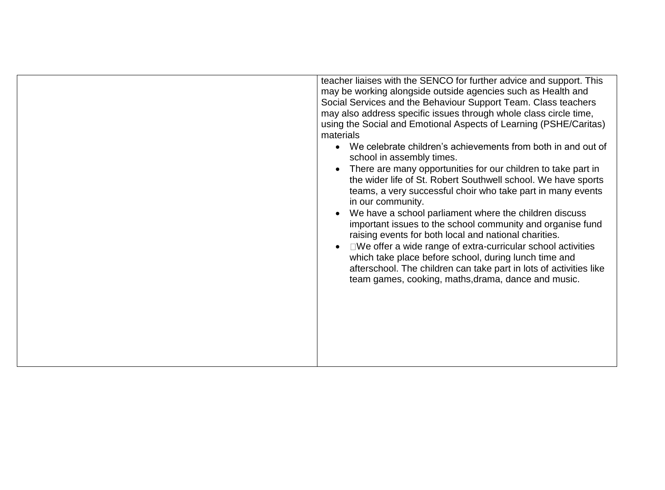teacher liaises with the SENCO for further advice and support. This may be working alongside outside agencies such as Health and Social Services and the Behaviour Support Team. Class teachers may also address specific issues through whole class circle time, using the Social and Emotional Aspects of Learning (PSHE/Caritas) materials We celebrate children's achievements from both in and out of school in assembly times. • There are many opportunities for our children to take part in the wider life of St. Robert Southwell school. We have sports teams, a very successful choir who take part in many events in our community. We have a school parliament where the children discuss important issues to the school community and organise fund raising events for both local and national charities.  $\bullet$   $\square$  We offer a wide range of extra-curricular school activities which take place before school, during lunch time and afterschool. The children can take part in lots of activities like team games, cooking, maths,drama, dance and music.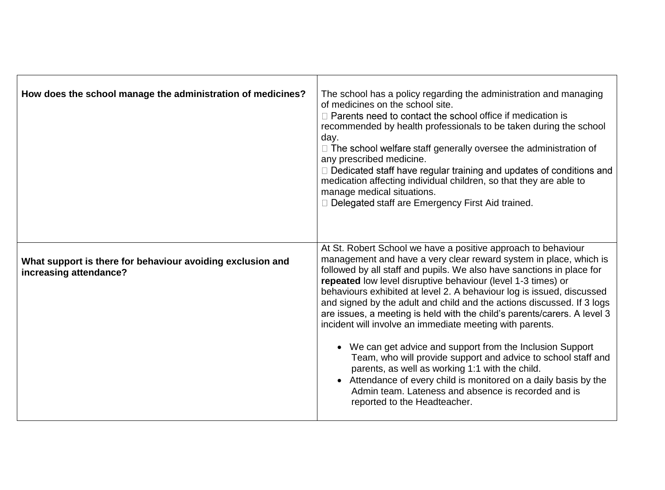| How does the school manage the administration of medicines?                          | The school has a policy regarding the administration and managing<br>of medicines on the school site.<br>$\Box$ Parents need to contact the school office if medication is<br>recommended by health professionals to be taken during the school<br>day.<br>$\Box$ The school welfare staff generally oversee the administration of<br>any prescribed medicine.<br>□ Dedicated staff have regular training and updates of conditions and<br>medication affecting individual children, so that they are able to<br>manage medical situations.<br>D Delegated staff are Emergency First Aid trained.                                                                                                                                                                                                                                                                                                                 |
|--------------------------------------------------------------------------------------|-------------------------------------------------------------------------------------------------------------------------------------------------------------------------------------------------------------------------------------------------------------------------------------------------------------------------------------------------------------------------------------------------------------------------------------------------------------------------------------------------------------------------------------------------------------------------------------------------------------------------------------------------------------------------------------------------------------------------------------------------------------------------------------------------------------------------------------------------------------------------------------------------------------------|
| What support is there for behaviour avoiding exclusion and<br>increasing attendance? | At St. Robert School we have a positive approach to behaviour<br>management and have a very clear reward system in place, which is<br>followed by all staff and pupils. We also have sanctions in place for<br>repeated low level disruptive behaviour (level 1-3 times) or<br>behaviours exhibited at level 2. A behaviour log is issued, discussed<br>and signed by the adult and child and the actions discussed. If 3 logs<br>are issues, a meeting is held with the child's parents/carers. A level 3<br>incident will involve an immediate meeting with parents.<br>We can get advice and support from the Inclusion Support<br>Team, who will provide support and advice to school staff and<br>parents, as well as working 1:1 with the child.<br>• Attendance of every child is monitored on a daily basis by the<br>Admin team. Lateness and absence is recorded and is<br>reported to the Headteacher. |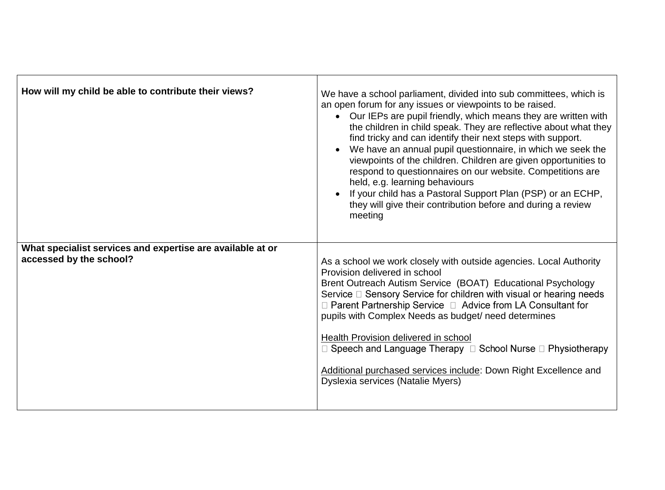| How will my child be able to contribute their views?                                  | We have a school parliament, divided into sub committees, which is<br>an open forum for any issues or viewpoints to be raised.<br>• Our IEPs are pupil friendly, which means they are written with<br>the children in child speak. They are reflective about what they<br>find tricky and can identify their next steps with support.<br>We have an annual pupil questionnaire, in which we seek the<br>viewpoints of the children. Children are given opportunities to<br>respond to questionnaires on our website. Competitions are<br>held, e.g. learning behaviours<br>If your child has a Pastoral Support Plan (PSP) or an ECHP,<br>they will give their contribution before and during a review<br>meeting |
|---------------------------------------------------------------------------------------|-------------------------------------------------------------------------------------------------------------------------------------------------------------------------------------------------------------------------------------------------------------------------------------------------------------------------------------------------------------------------------------------------------------------------------------------------------------------------------------------------------------------------------------------------------------------------------------------------------------------------------------------------------------------------------------------------------------------|
| What specialist services and expertise are available at or<br>accessed by the school? | As a school we work closely with outside agencies. Local Authority<br>Provision delivered in school<br>Brent Outreach Autism Service (BOAT) Educational Psychology<br>Service □ Sensory Service for children with visual or hearing needs<br>□ Parent Partnership Service □ Advice from LA Consultant for<br>pupils with Complex Needs as budget/ need determines<br>Health Provision delivered in school<br>$\Box$ Speech and Language Therapy $\Box$ School Nurse $\Box$ Physiotherapy<br>Additional purchased services include: Down Right Excellence and<br>Dyslexia services (Natalie Myers)                                                                                                                 |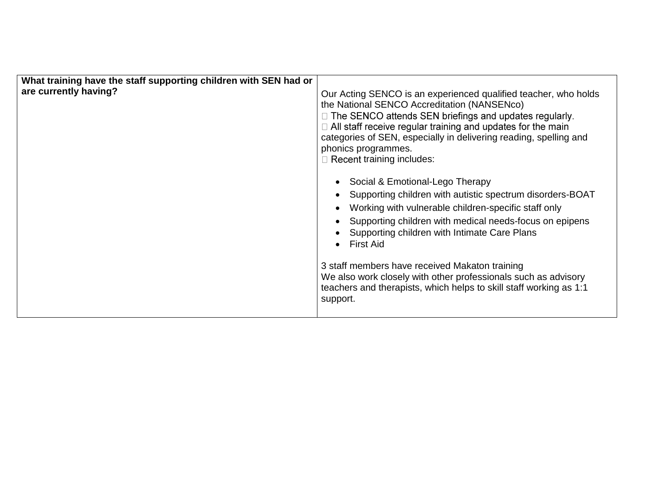| What training have the staff supporting children with SEN had or<br>are currently having? | Our Acting SENCO is an experienced qualified teacher, who holds<br>the National SENCO Accreditation (NANSENco)<br>□ The SENCO attends SEN briefings and updates regularly.<br>$\Box$ All staff receive regular training and updates for the main<br>categories of SEN, especially in delivering reading, spelling and<br>phonics programmes.<br>$\Box$ Recent training includes:                                                                                                          |  |
|-------------------------------------------------------------------------------------------|-------------------------------------------------------------------------------------------------------------------------------------------------------------------------------------------------------------------------------------------------------------------------------------------------------------------------------------------------------------------------------------------------------------------------------------------------------------------------------------------|--|
|                                                                                           | Social & Emotional-Lego Therapy<br>Supporting children with autistic spectrum disorders-BOAT<br>Working with vulnerable children-specific staff only<br>Supporting children with medical needs-focus on epipens<br>Supporting children with Intimate Care Plans<br><b>First Aid</b><br>3 staff members have received Makaton training<br>We also work closely with other professionals such as advisory<br>teachers and therapists, which helps to skill staff working as 1:1<br>support. |  |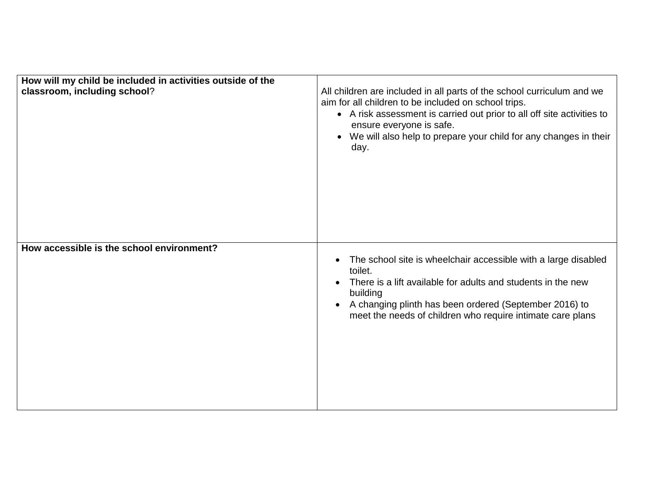| How will my child be included in activities outside of the<br>classroom, including school? | All children are included in all parts of the school curriculum and we<br>aim for all children to be included on school trips.<br>• A risk assessment is carried out prior to all off site activities to<br>ensure everyone is safe.<br>We will also help to prepare your child for any changes in their<br>day. |
|--------------------------------------------------------------------------------------------|------------------------------------------------------------------------------------------------------------------------------------------------------------------------------------------------------------------------------------------------------------------------------------------------------------------|
| How accessible is the school environment?                                                  | The school site is wheelchair accessible with a large disabled<br>toilet.<br>There is a lift available for adults and students in the new<br>building<br>A changing plinth has been ordered (September 2016) to<br>meet the needs of children who require intimate care plans                                    |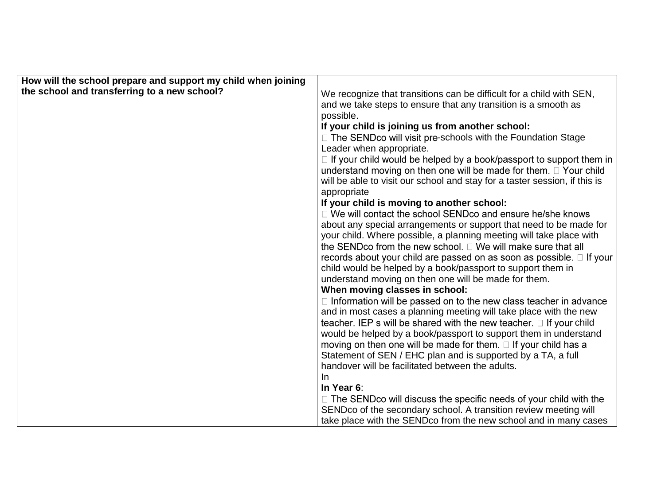| How will the school prepare and support my child when joining |                                                                                                                     |
|---------------------------------------------------------------|---------------------------------------------------------------------------------------------------------------------|
| the school and transferring to a new school?                  | We recognize that transitions can be difficult for a child with SEN,                                                |
|                                                               | and we take steps to ensure that any transition is a smooth as                                                      |
|                                                               | possible.                                                                                                           |
|                                                               | If your child is joining us from another school:                                                                    |
|                                                               | □ The SENDco will visit pre-schools with the Foundation Stage                                                       |
|                                                               | Leader when appropriate.                                                                                            |
|                                                               | $\Box$ If your child would be helped by a book/passport to support them in                                          |
|                                                               | understand moving on then one will be made for them. $\Box$ Your child                                              |
|                                                               | will be able to visit our school and stay for a taster session, if this is                                          |
|                                                               | appropriate                                                                                                         |
|                                                               | If your child is moving to another school:                                                                          |
|                                                               | $\Box$ We will contact the school SENDco and ensure he/she knows                                                    |
|                                                               | about any special arrangements or support that need to be made for                                                  |
|                                                               | your child. Where possible, a planning meeting will take place with                                                 |
|                                                               | the SENDco from the new school. $\Box$ We will make sure that all                                                   |
|                                                               | records about your child are passed on as soon as possible. $\Box$ If your                                          |
|                                                               | child would be helped by a book/passport to support them in<br>understand moving on then one will be made for them. |
|                                                               | When moving classes in school:                                                                                      |
|                                                               | $\Box$ Information will be passed on to the new class teacher in advance                                            |
|                                                               | and in most cases a planning meeting will take place with the new                                                   |
|                                                               | teacher. IEP s will be shared with the new teacher. $\Box$ If your child                                            |
|                                                               | would be helped by a book/passport to support them in understand                                                    |
|                                                               | moving on then one will be made for them. $\Box$ If your child has a                                                |
|                                                               | Statement of SEN / EHC plan and is supported by a TA, a full                                                        |
|                                                               | handover will be facilitated between the adults.                                                                    |
|                                                               | -In                                                                                                                 |
|                                                               | In Year 6:                                                                                                          |
|                                                               | $\Box$ The SENDco will discuss the specific needs of your child with the                                            |
|                                                               | SENDco of the secondary school. A transition review meeting will                                                    |
|                                                               | take place with the SENDco from the new school and in many cases                                                    |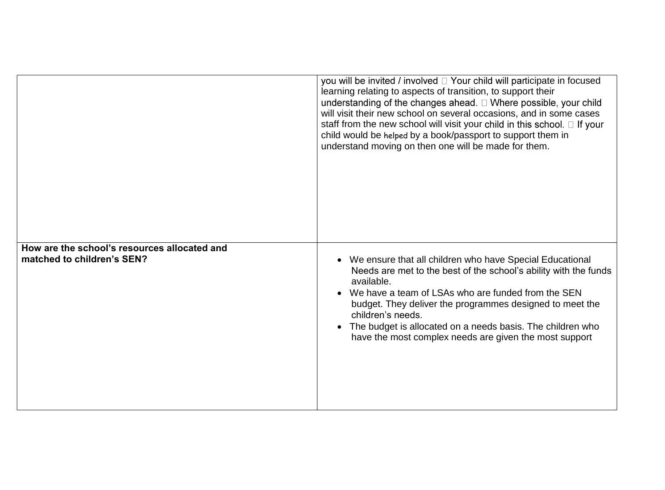|                                                                            | you will be invited / involved $\Box$ Your child will participate in focused<br>learning relating to aspects of transition, to support their<br>understanding of the changes ahead. $\Box$ Where possible, your child<br>will visit their new school on several occasions, and in some cases<br>staff from the new school will visit your child in this school. $\Box$ If your<br>child would be helped by a book/passport to support them in<br>understand moving on then one will be made for them. |
|----------------------------------------------------------------------------|-------------------------------------------------------------------------------------------------------------------------------------------------------------------------------------------------------------------------------------------------------------------------------------------------------------------------------------------------------------------------------------------------------------------------------------------------------------------------------------------------------|
|                                                                            |                                                                                                                                                                                                                                                                                                                                                                                                                                                                                                       |
| How are the school's resources allocated and<br>matched to children's SEN? | We ensure that all children who have Special Educational<br>Needs are met to the best of the school's ability with the funds<br>available.<br>We have a team of LSAs who are funded from the SEN<br>budget. They deliver the programmes designed to meet the<br>children's needs.<br>The budget is allocated on a needs basis. The children who<br>have the most complex needs are given the most support                                                                                             |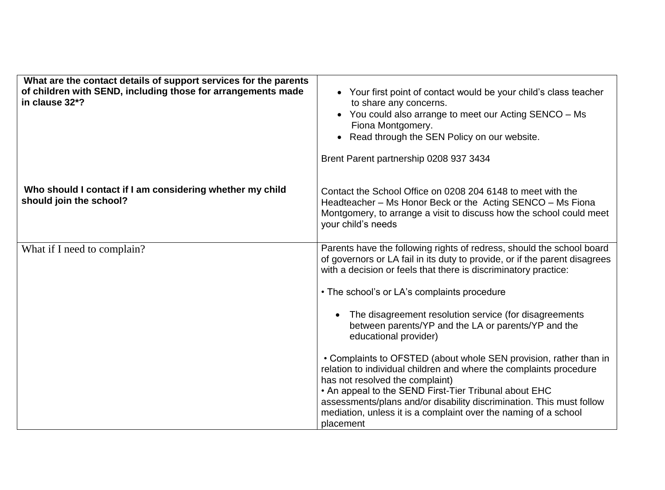| What are the contact details of support services for the parents<br>of children with SEND, including those for arrangements made<br>in clause 32*? | • Your first point of contact would be your child's class teacher<br>to share any concerns.<br>• You could also arrange to meet our Acting SENCO - Ms<br>Fiona Montgomery.<br>• Read through the SEN Policy on our website.<br>Brent Parent partnership 0208 937 3434                                                                                                                                                                                                                                                                                                                                                                                                                                                                                                                                          |
|----------------------------------------------------------------------------------------------------------------------------------------------------|----------------------------------------------------------------------------------------------------------------------------------------------------------------------------------------------------------------------------------------------------------------------------------------------------------------------------------------------------------------------------------------------------------------------------------------------------------------------------------------------------------------------------------------------------------------------------------------------------------------------------------------------------------------------------------------------------------------------------------------------------------------------------------------------------------------|
| Who should I contact if I am considering whether my child<br>should join the school?                                                               | Contact the School Office on 0208 204 6148 to meet with the<br>Headteacher - Ms Honor Beck or the Acting SENCO - Ms Fiona<br>Montgomery, to arrange a visit to discuss how the school could meet<br>your child's needs                                                                                                                                                                                                                                                                                                                                                                                                                                                                                                                                                                                         |
| What if I need to complain?                                                                                                                        | Parents have the following rights of redress, should the school board<br>of governors or LA fail in its duty to provide, or if the parent disagrees<br>with a decision or feels that there is discriminatory practice:<br>• The school's or LA's complaints procedure<br>The disagreement resolution service (for disagreements<br>between parents/YP and the LA or parents/YP and the<br>educational provider)<br>• Complaints to OFSTED (about whole SEN provision, rather than in<br>relation to individual children and where the complaints procedure<br>has not resolved the complaint)<br>• An appeal to the SEND First-Tier Tribunal about EHC<br>assessments/plans and/or disability discrimination. This must follow<br>mediation, unless it is a complaint over the naming of a school<br>placement |